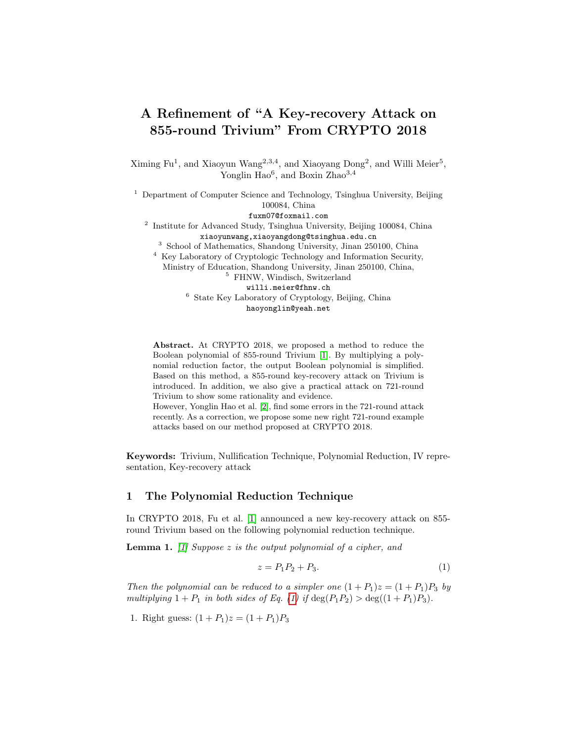# A Refinement of "A Key-recovery Attack on 855-round Trivium" From CRYPTO 2018

Ximing  $Fu<sup>1</sup>$ , and Xiaoyun Wang<sup>2,3,4</sup>, and Xiaoyang Dong<sup>2</sup>, and Willi Meier<sup>5</sup>, Yonglin Hao<sup>6</sup>, and Boxin Zhao<sup>3,4</sup>

<sup>1</sup> Department of Computer Science and Technology, Tsinghua University, Beijing 100084, China fuxm07@foxmail.com

<sup>2</sup> Institute for Advanced Study, Tsinghua University, Beijing 100084, China xiaoyunwang,xiaoyangdong@tsinghua.edu.cn

<sup>3</sup> School of Mathematics, Shandong University, Jinan 250100, China

<sup>4</sup> Key Laboratory of Cryptologic Technology and Information Security, Ministry of Education, Shandong University, Jinan 250100, China,

<sup>5</sup> FHNW, Windisch, Switzerland

willi.meier@fhnw.ch

<sup>6</sup> State Key Laboratory of Cryptology, Beijing, China haoyonglin@yeah.net

Abstract. At CRYPTO 2018, we proposed a method to reduce the Boolean polynomial of 855-round Trivium [\[1\]](#page-4-0). By multiplying a polynomial reduction factor, the output Boolean polynomial is simplified. Based on this method, a 855-round key-recovery attack on Trivium is introduced. In addition, we also give a practical attack on 721-round Trivium to show some rationality and evidence. However, Yonglin Hao et al. [\[2\]](#page-4-1), find some errors in the 721-round attack

recently. As a correction, we propose some new right 721-round example attacks based on our method proposed at CRYPTO 2018.

Keywords: Trivium, Nullification Technique, Polynomial Reduction, IV representation, Key-recovery attack

#### 1 The Polynomial Reduction Technique

In CRYPTO 2018, Fu et al. [\[1\]](#page-4-0) announced a new key-recovery attack on 855 round Trivium based on the following polynomial reduction technique.

**Lemma 1.** [\[1\]](#page-4-0) Suppose z is the output polynomial of a cipher, and

<span id="page-0-1"></span><span id="page-0-0"></span>
$$
z = P_1 P_2 + P_3. \t\t(1)
$$

Then the polynomial can be reduced to a simpler one  $(1+P_1)z = (1+P_1)P_3$  by multiplying  $1 + P_1$  in both sides of Eq. [\(1\)](#page-0-0) if  $\deg(P_1P_2) > \deg((1 + P_1)P_3)$ .

1. Right guess:  $(1 + P_1)z = (1 + P_1)P_3$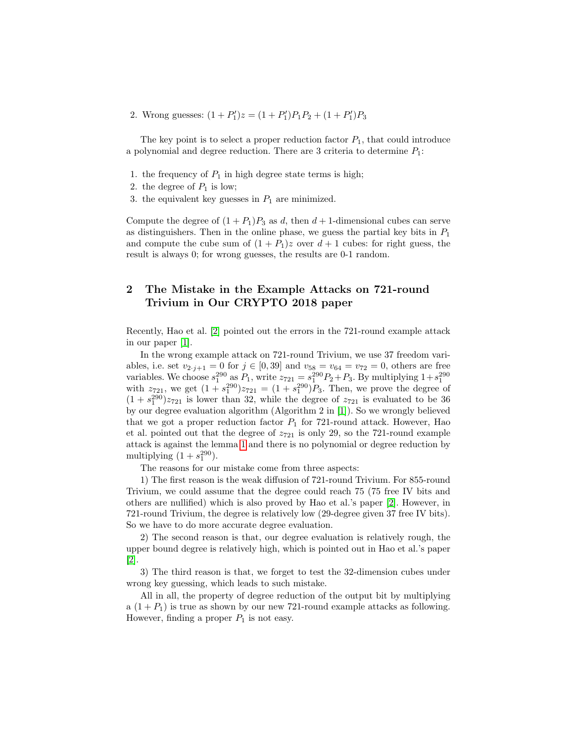2. Wrong guesses:  $(1+P'_1)z = (1+P'_1)P_1P_2 + (1+P'_1)P_3$ 

The key point is to select a proper reduction factor  $P_1$ , that could introduce a polynomial and degree reduction. There are 3 criteria to determine  $P_1$ :

- 1. the frequency of  $P_1$  in high degree state terms is high;
- 2. the degree of  $P_1$  is low;
- 3. the equivalent key guesses in  $P_1$  are minimized.

Compute the degree of  $(1 + P_1)P_3$  as d, then  $d + 1$ -dimensional cubes can serve as distinguishers. Then in the online phase, we guess the partial key bits in  $P_1$ and compute the cube sum of  $(1 + P_1)z$  over  $d + 1$  cubes: for right guess, the result is always 0; for wrong guesses, the results are 0-1 random.

## 2 The Mistake in the Example Attacks on 721-round Trivium in Our CRYPTO 2018 paper

Recently, Hao et al. [\[2\]](#page-4-1) pointed out the errors in the 721-round example attack in our paper [\[1\]](#page-4-0).

In the wrong example attack on 721-round Trivium, we use 37 freedom variables, i.e. set  $v_{2 \cdot j+1} = 0$  for  $j \in [0, 39]$  and  $v_{58} = v_{64} = v_{72} = 0$ , others are free variables. We choose  $s_1^{290}$  as  $P_1$ , write  $z_{721} = s_1^{290}P_2 + P_3$ . By multiplying  $1 + s_1^{290}$  with  $z_{721}$ , we get  $(1 + s_1^{290})z_{721} = (1 + s_1^{290})P_3$ . Then, we prove the degree of  $(1 + s_1^{290})z_{721}$  is lower than 32, while the degree of  $z_{721}$  is evaluated to be 36 by our degree evaluation algorithm (Algorithm 2 in [\[1\]](#page-4-0)). So we wrongly believed that we got a proper reduction factor  $P_1$  for 721-round attack. However, Hao et al. pointed out that the degree of  $z_{721}$  is only 29, so the 721-round example attack is against the lemma [1](#page-0-1) and there is no polynomial or degree reduction by multiplying  $(1 + s_1^{290})$ .

The reasons for our mistake come from three aspects:

1) The first reason is the weak diffusion of 721-round Trivium. For 855-round Trivium, we could assume that the degree could reach 75 (75 free IV bits and others are nullified) which is also proved by Hao et al.'s paper [\[2\]](#page-4-1). However, in 721-round Trivium, the degree is relatively low (29-degree given 37 free IV bits). So we have to do more accurate degree evaluation.

2) The second reason is that, our degree evaluation is relatively rough, the upper bound degree is relatively high, which is pointed out in Hao et al.'s paper [\[2\]](#page-4-1).

3) The third reason is that, we forget to test the 32-dimension cubes under wrong key guessing, which leads to such mistake.

All in all, the property of degree reduction of the output bit by multiplying a  $(1 + P_1)$  is true as shown by our new 721-round example attacks as following. However, finding a proper  $P_1$  is not easy.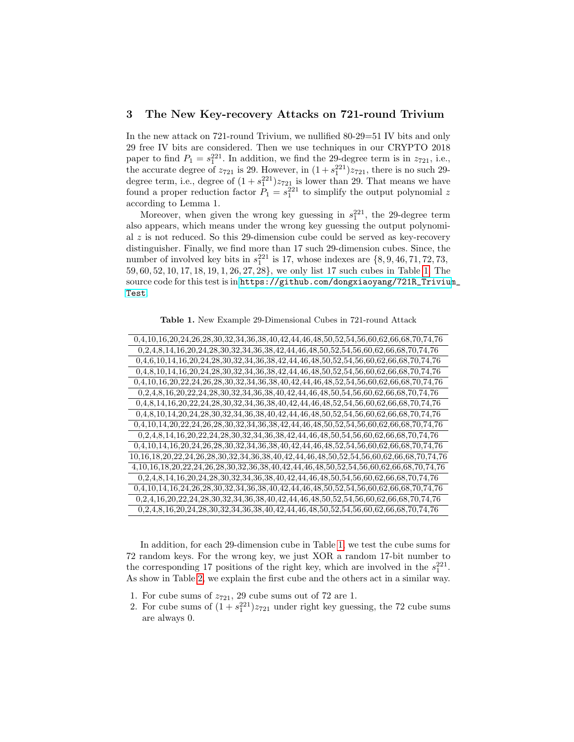#### 3 The New Key-recovery Attacks on 721-round Trivium

In the new attack on 721-round Trivium, we nullified 80-29=51 IV bits and only 29 free IV bits are considered. Then we use techniques in our CRYPTO 2018 paper to find  $P_1 = s_1^{221}$ . In addition, we find the 29-degree term is in  $z_{721}$ , i.e., the accurate degree of  $z_{721}$  is 29. However, in  $(1 + s_1^{221})z_{721}$ , there is no such 29degree term, i.e., degree of  $(1 + s_1^{221})z_{721}$  is lower than 29. That means we have found a proper reduction factor  $P_1 = s_1^{221}$  to simplify the output polynomial z according to Lemma 1.

Moreover, when given the wrong key guessing in  $s_1^{221}$ , the 29-degree term also appears, which means under the wrong key guessing the output polynomial  $z$  is not reduced. So this 29-dimension cube could be served as key-recovery distinguisher. Finally, we find more than 17 such 29-dimension cubes. Since, the number of involved key bits in  $s_1^{221}$  is 17, whose indexes are  $\{8, 9, 46, 71, 72, 73,$ 59, 60, 52, 10, 17, 18, 19, 1, 26, 27, 28}, we only list 17 such cubes in Table [1.](#page-2-0) The source code for this test is in [https://github.com/dongxiaoyang/721R\\_Trivium](https://github.com/dongxiaoyang/721R_Trivium_Test)\_ [Test](https://github.com/dongxiaoyang/721R_Trivium_Test).

<span id="page-2-0"></span>Table 1. New Example 29-Dimensional Cubes in 721-round Attack

| $0,4,10,16,20,24,26,28,30,32,34,36,38,40,42,44,46,48,50,52,54,56,60,62,66,68,70,74,76$                                            |
|-----------------------------------------------------------------------------------------------------------------------------------|
| $0,2,4,8,14,16,20,24,28,30,32,34,36,38,42,44,46,48,50,52,54,56,60,62,66,68,70,74,76$                                              |
| 0,4,6,10,14,16,20,24,28,30,32,34,36,38,42,44,46,48,50,52,54,56,60,62,66,68,70,74,76                                               |
| 0,4,8,10,14,16,20,24,28,30,32,34,36,38,42,44,46,48,50,52,54,56,60,62,66,68,70,74,76                                               |
| $0, 4, 10, 16, 20, 22, 24, 26, 28, 30, 32, 34, 36, 38, 40, 42, 44, 46, 48, 52, 54, 56, 60, 62, 66, 68, 70, 74, 76$                |
| $0, 2, 4, 8, 16, 20, 22, 24, 28, 30, 32, 34, 36, 38, 40, 42, 44, 46, 48, 50, 54, 56, 60, 62, 66, 68, 70, 74, 76$                  |
| 0,4,8,14,16,20,22,24,28,30,32,34,36,38,40,42,44,46,48,52,54,56,60,62,66,68,70,74,76                                               |
| $0,4,8,10,14,20,24,28,30,32,34,36,38,40,42,44,46,48,50,52,54,56,60,62,66,68,70,74,76$                                             |
| $0,4,10,14,20,22,24,26,28,30,32,34,36,38,42,44,46,48,50,52,54,56,60,62,66,68,70,74,76$                                            |
| $0,2,4,8,14,16,20,22,24,28,30,32,34,36,38,42,44,46,48,50,54,56,60,62,66,68,70,74,76$                                              |
| $0, 4, 10, 14, 16, 20, 24, 26, 28, 30, 32, 34, 36, 38, 40, 42, 44, 46, 48, 52, 54, 56, 60, 62, 66, 68, 70, 74, 76$                |
| $10, 16, 18, 20, 22, 24, 26, 28, 30, 32, 34, 36, 38, 40, 42, 44, 46, 48, 50, 52, 54, 56, 60, 62, 66, 68, 70, 74, 76$              |
| $4, 10, 16, 18, 20, 22, 24, 26, 28, 30, 32, 36, 38, 40, 42, 44, 46, 48, 50, 52, 54, 56, 60, 62, 66, 68, 70, 74, 76$               |
| $0, 2, 4, 8, 14, 16, 20, 24, 28, 30, 32, 34, 36, 38, 40, 42, 44, 46, 48, 50, 54, 56, 60, 62, 66, 68, 70, 74, 76$                  |
| $\label{eq:3d0} 0, 4, 10, 14, 16, 24, 26, 28, 30, 32, 34, 36, 38, 40, 42, 44, 46, 48, 50, 52, 54, 56, 60, 62, 66, 68, 70, 74, 76$ |
| $0, 2, 4, 16, 20, 22, 24, 28, 30, 32, 34, 36, 38, 40, 42, 44, 46, 48, 50, 52, 54, 56, 60, 62, 66, 68, 70, 74, 76$                 |
| $0, 2, 4, 8, 16, 20, 24, 28, 30, 32, 34, 36, 38, 40, 42, 44, 46, 48, 50, 52, 54, 56, 60, 62, 66, 68, 70, 74, 76$                  |

In addition, for each 29-dimension cube in Table [1,](#page-2-0) we test the cube sums for 72 random keys. For the wrong key, we just XOR a random 17-bit number to the corresponding 17 positions of the right key, which are involved in the  $s_1^{221}$ . As show in Table [2,](#page-3-0) we explain the first cube and the others act in a similar way.

- 1. For cube sums of  $z_{721}$ , 29 cube sums out of 72 are 1.
- 2. For cube sums of  $(1 + s_1^{221})z_{721}$  under right key guessing, the 72 cube sums are always 0.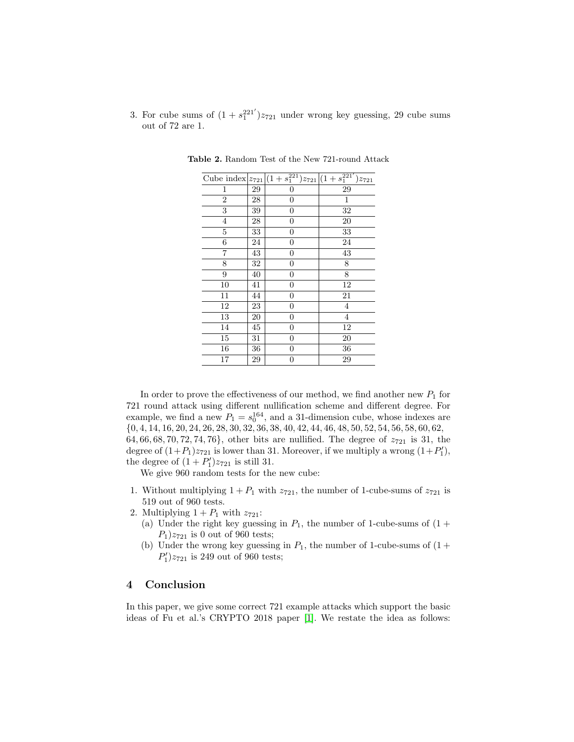3. For cube sums of  $(1 + s_1^{221'})z_{721}$  under wrong key guessing, 29 cube sums out of 72 are 1.

<span id="page-3-0"></span>

|                |             |                  | Cube index $ z_{721} (1+s_1^{221})z_{721} (1+s_1^{221'})z_{721}$ |
|----------------|-------------|------------------|------------------------------------------------------------------|
| 1              | $\,29$      | $\overline{0}$   | 29                                                               |
| $\overline{2}$ | 28          | 0                | 1                                                                |
| 3              | 39          | $\overline{0}$   | 32                                                               |
| $\overline{4}$ | $\sqrt{28}$ | $\boldsymbol{0}$ | 20                                                               |
| $\bf 5$        | 33          | $\boldsymbol{0}$ | 33                                                               |
| 6              | 24          | $\boldsymbol{0}$ | 24                                                               |
| 7              | 43          | $\boldsymbol{0}$ | 43                                                               |
| 8              | 32          | $\overline{0}$   | 8                                                                |
| 9              | 40          | $\overline{0}$   | 8                                                                |
| 10             | 41          | $\overline{0}$   | 12                                                               |
| 11             | 44          | 0                | 21                                                               |
| 12             | 23          | $\boldsymbol{0}$ | $\overline{4}$                                                   |
| 13             | 20          | $\boldsymbol{0}$ | $\overline{4}$                                                   |
| 14             | 45          | $\boldsymbol{0}$ | $\overline{12}$                                                  |
| 15             | 31          | $\boldsymbol{0}$ | $20\,$                                                           |
| 16             | 36          | $\overline{0}$   | $36\,$                                                           |
| 17             | 29          | 0                | 29                                                               |

Table 2. Random Test of the New 721-round Attack

In order to prove the effectiveness of our method, we find another new  $P_1$  for 721 round attack using different nullification scheme and different degree. For example, we find a new  $P_1 = s_0^{164}$ , and a 31-dimension cube, whose indexes are {0, 4, 14, 16, 20, 24, 26, 28, 30, 32, 36, 38, 40, 42, 44, 46, 48, 50, 52, 54, 56, 58, 60, 62, 64, 66, 68, 70, 72, 74, 76}, other bits are nullified. The degree of  $z_{721}$  is 31, the degree of  $(1+P_1)z_{721}$  is lower than 31. Moreover, if we multiply a wrong  $(1+P'_1)$ , the degree of  $(1+P'_1)z_{721}$  is still 31.

We give 960 random tests for the new cube:

- 1. Without multiplying  $1 + P_1$  with  $z_{721}$ , the number of 1-cube-sums of  $z_{721}$  is 519 out of 960 tests.
- 2. Multiplying  $1 + P_1$  with  $z_{721}$ :
	- (a) Under the right key guessing in  $P_1$ , the number of 1-cube-sums of  $(1 +$  $P_1$ ) $z_{721}$  is 0 out of 960 tests;
	- (b) Under the wrong key guessing in  $P_1$ , the number of 1-cube-sums of  $(1 +$  $P'_1$ ) $z_{721}$  is 249 out of 960 tests;

#### 4 Conclusion

In this paper, we give some correct 721 example attacks which support the basic ideas of Fu et al.'s CRYPTO 2018 paper [\[1\]](#page-4-0). We restate the idea as follows: